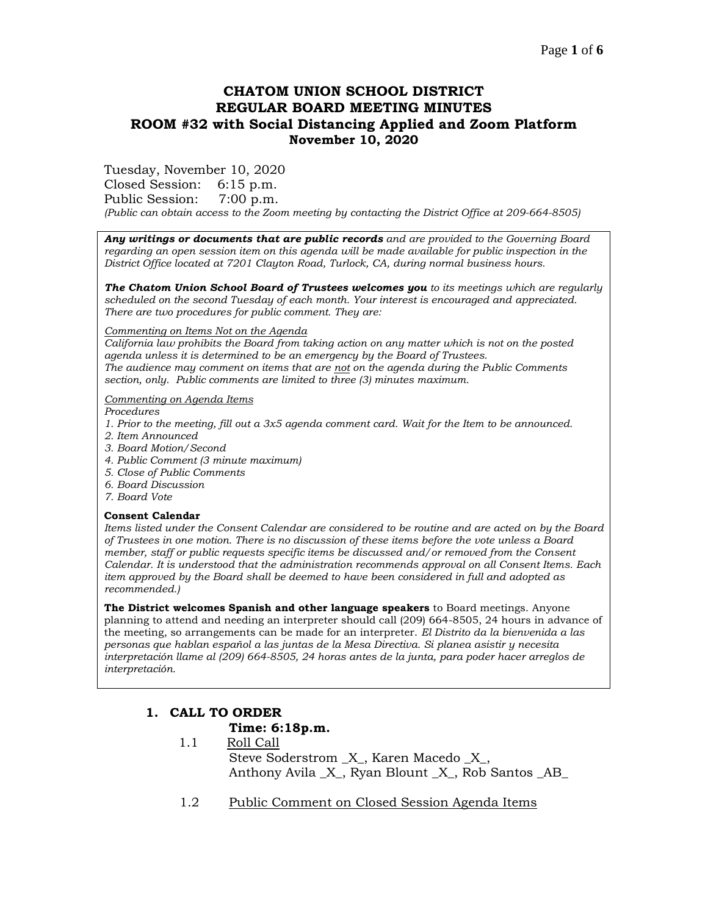# **CHATOM UNION SCHOOL DISTRICT REGULAR BOARD MEETING MINUTES ROOM #32 with Social Distancing Applied and Zoom Platform November 10, 2020**

Tuesday, November 10, 2020

Closed Session: 6:15 p.m.

Public Session: 7:00 p.m.

*(Public can obtain access to the Zoom meeting by contacting the District Office at 209-664-8505)*

*Any writings or documents that are public records and are provided to the Governing Board regarding an open session item on this agenda will be made available for public inspection in the District Office located at 7201 Clayton Road, Turlock, CA, during normal business hours.*

*The Chatom Union School Board of Trustees welcomes you to its meetings which are regularly scheduled on the second Tuesday of each month. Your interest is encouraged and appreciated. There are two procedures for public comment. They are:*

### *Commenting on Items Not on the Agenda*

*California law prohibits the Board from taking action on any matter which is not on the posted agenda unless it is determined to be an emergency by the Board of Trustees. The audience may comment on items that are not on the agenda during the Public Comments section, only. Public comments are limited to three (3) minutes maximum.*

*Commenting on Agenda Items*

*Procedures* 

- *1. Prior to the meeting, fill out a 3x5 agenda comment card. Wait for the Item to be announced.*
- *2. Item Announced*
- *3. Board Motion/Second*
- *4. Public Comment (3 minute maximum)*
- *5. Close of Public Comments*
- *6. Board Discussion*
- *7. Board Vote*

### **Consent Calendar**

*Items listed under the Consent Calendar are considered to be routine and are acted on by the Board of Trustees in one motion. There is no discussion of these items before the vote unless a Board member, staff or public requests specific items be discussed and/or removed from the Consent Calendar. It is understood that the administration recommends approval on all Consent Items. Each item approved by the Board shall be deemed to have been considered in full and adopted as recommended.)*

**The District welcomes Spanish and other language speakers** to Board meetings. Anyone planning to attend and needing an interpreter should call (209) 664-8505, 24 hours in advance of the meeting, so arrangements can be made for an interpreter. *El Distrito da la bienvenida a las personas que hablan español a las juntas de la Mesa Directiva. Si planea asistir y necesita interpretación llame al (209) 664-8505, 24 horas antes de la junta, para poder hacer arreglos de interpretación.*

# **1. CALL TO ORDER**

## **Time: 6:18p.m.**

- 1.1 Roll Call Steve Soderstrom  $X$ , Karen Macedo  $X$ , Anthony Avila \_X\_, Ryan Blount \_X\_, Rob Santos \_AB\_
- 1.2 Public Comment on Closed Session Agenda Items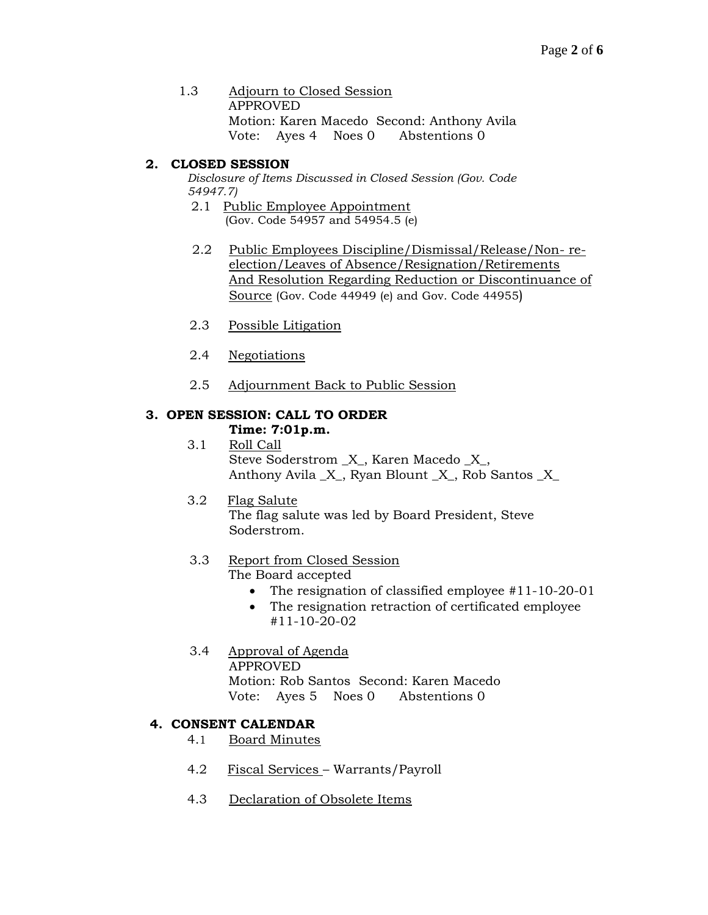1.3 Adjourn to Closed Session APPROVED Motion: Karen Macedo Second: Anthony Avila Vote: Ayes 4 Noes 0 Abstentions 0

# **2. CLOSED SESSION**

*Disclosure of Items Discussed in Closed Session (Gov. Code 54947.7)*

- 2.1 Public Employee Appointment (Gov. Code 54957 and 54954.5 (e)
- 2.2 Public Employees Discipline/Dismissal/Release/Non- reelection/Leaves of Absence/Resignation/Retirements And Resolution Regarding Reduction or Discontinuance of Source (Gov. Code 44949 (e) and Gov. Code 44955)
- 2.3 Possible Litigation
- 2.4 Negotiations
- 2.5 Adjournment Back to Public Session

# **3. OPEN SESSION: CALL TO ORDER**

### **Time: 7:01p.m.**

 3.1 Roll Call Steve Soderstrom \_X\_, Karen Macedo \_X\_, Anthony Avila \_X\_, Ryan Blount \_X\_, Rob Santos \_X\_

## 3.2 Flag Salute

The flag salute was led by Board President, Steve Soderstrom.

# 3.3 Report from Closed Session

The Board accepted

- The resignation of classified employee #11-10-20-01
- The resignation retraction of certificated employee #11-10-20-02
- 3.4 Approval of Agenda APPROVED Motion: Rob Santos Second: Karen Macedo Vote: Ayes 5 Noes 0 Abstentions 0

## **4. CONSENT CALENDAR**

4.1 Board Minutes

- 4.2 Fiscal Services Warrants/Payroll
- 4.3 Declaration of Obsolete Items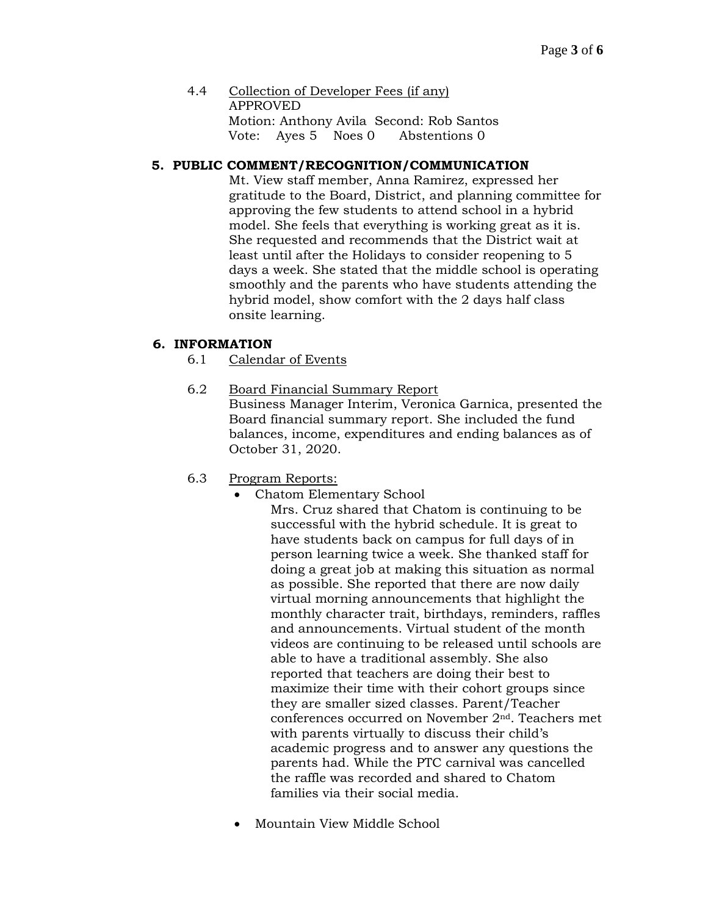4.4 Collection of Developer Fees (if any) APPROVED Motion: Anthony Avila Second: Rob Santos Vote: Ayes 5 Noes 0 Abstentions 0

### **5. PUBLIC COMMENT/RECOGNITION/COMMUNICATION**

Mt. View staff member, Anna Ramirez, expressed her gratitude to the Board, District, and planning committee for approving the few students to attend school in a hybrid model. She feels that everything is working great as it is. She requested and recommends that the District wait at least until after the Holidays to consider reopening to 5 days a week. She stated that the middle school is operating smoothly and the parents who have students attending the hybrid model, show comfort with the 2 days half class onsite learning.

### **6. INFORMATION**

- 6.1 Calendar of Events
- 6.2 Board Financial Summary Report

Business Manager Interim, Veronica Garnica, presented the Board financial summary report. She included the fund balances, income, expenditures and ending balances as of October 31, 2020.

- 6.3 Program Reports:
	- Chatom Elementary School

Mrs. Cruz shared that Chatom is continuing to be successful with the hybrid schedule. It is great to have students back on campus for full days of in person learning twice a week. She thanked staff for doing a great job at making this situation as normal as possible. She reported that there are now daily virtual morning announcements that highlight the monthly character trait, birthdays, reminders, raffles and announcements. Virtual student of the month videos are continuing to be released until schools are able to have a traditional assembly. She also reported that teachers are doing their best to maximize their time with their cohort groups since they are smaller sized classes. Parent/Teacher conferences occurred on November 2nd. Teachers met with parents virtually to discuss their child's academic progress and to answer any questions the parents had. While the PTC carnival was cancelled the raffle was recorded and shared to Chatom families via their social media.

• Mountain View Middle School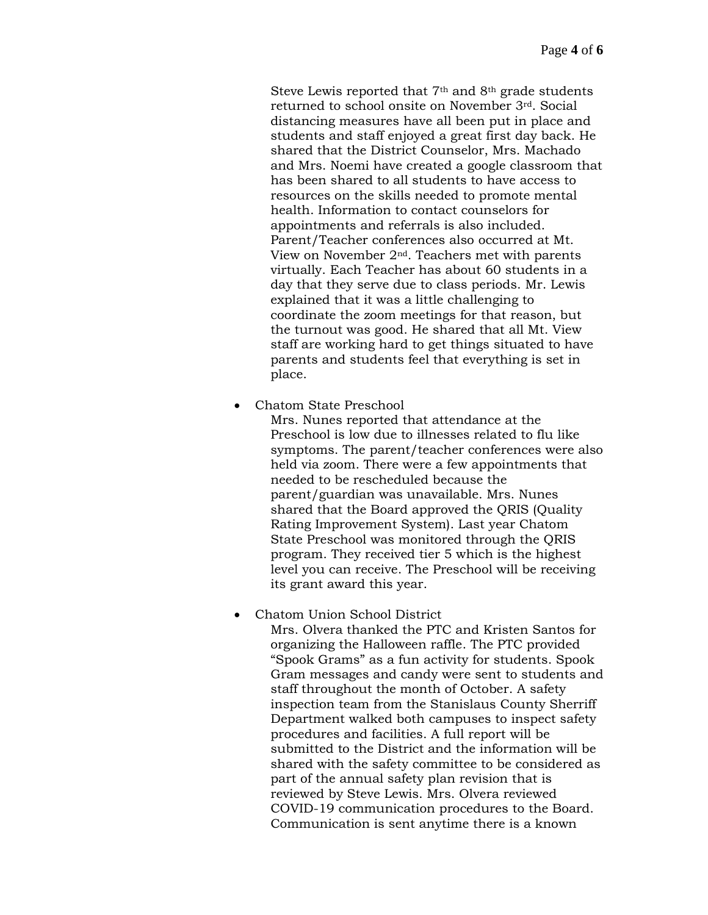Steve Lewis reported that  $7<sup>th</sup>$  and  $8<sup>th</sup>$  grade students returned to school onsite on November 3rd. Social distancing measures have all been put in place and students and staff enjoyed a great first day back. He shared that the District Counselor, Mrs. Machado and Mrs. Noemi have created a google classroom that has been shared to all students to have access to resources on the skills needed to promote mental health. Information to contact counselors for appointments and referrals is also included. Parent/Teacher conferences also occurred at Mt. View on November 2nd. Teachers met with parents virtually. Each Teacher has about 60 students in a day that they serve due to class periods. Mr. Lewis explained that it was a little challenging to coordinate the zoom meetings for that reason, but the turnout was good. He shared that all Mt. View staff are working hard to get things situated to have parents and students feel that everything is set in place.

• Chatom State Preschool

Mrs. Nunes reported that attendance at the Preschool is low due to illnesses related to flu like symptoms. The parent/teacher conferences were also held via zoom. There were a few appointments that needed to be rescheduled because the parent/guardian was unavailable. Mrs. Nunes shared that the Board approved the QRIS (Quality Rating Improvement System). Last year Chatom State Preschool was monitored through the QRIS program. They received tier 5 which is the highest level you can receive. The Preschool will be receiving its grant award this year.

### • Chatom Union School District

Mrs. Olvera thanked the PTC and Kristen Santos for organizing the Halloween raffle. The PTC provided "Spook Grams" as a fun activity for students. Spook Gram messages and candy were sent to students and staff throughout the month of October. A safety inspection team from the Stanislaus County Sherriff Department walked both campuses to inspect safety procedures and facilities. A full report will be submitted to the District and the information will be shared with the safety committee to be considered as part of the annual safety plan revision that is reviewed by Steve Lewis. Mrs. Olvera reviewed COVID-19 communication procedures to the Board. Communication is sent anytime there is a known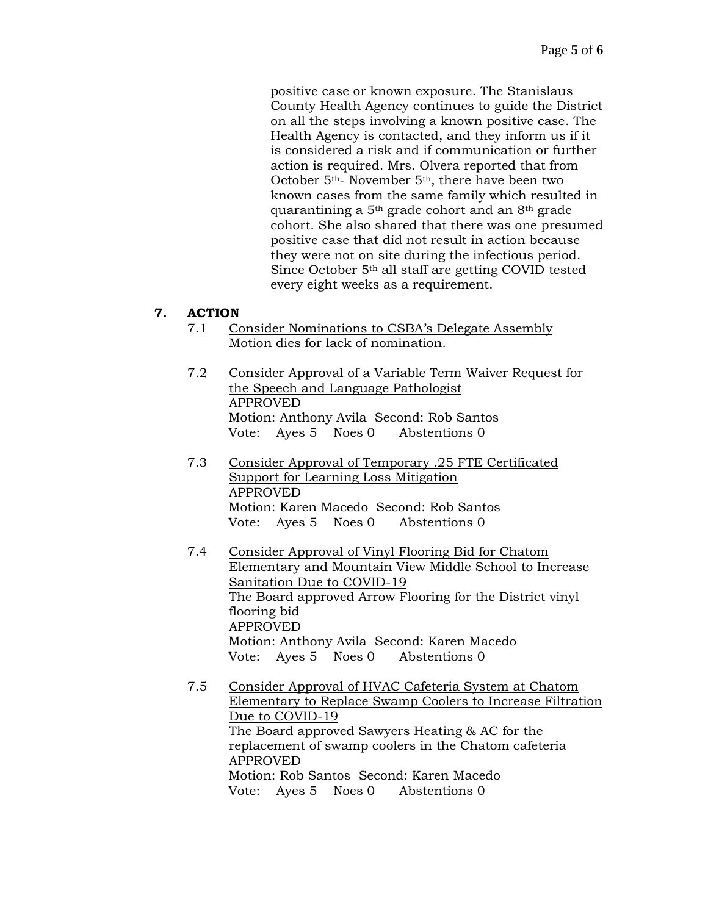positive case or known exposure. The Stanislaus County Health Agency continues to guide the District on all the steps involving a known positive case. The Health Agency is contacted, and they inform us if it is considered a risk and if communication or further action is required. Mrs. Olvera reported that from October 5th- November 5th, there have been two known cases from the same family which resulted in quarantining a 5th grade cohort and an 8th grade cohort. She also shared that there was one presumed positive case that did not result in action because they were not on site during the infectious period. Since October 5th all staff are getting COVID tested every eight weeks as a requirement.

## **7. ACTION**

- 7.1 Consider Nominations to CSBA's Delegate Assembly Motion dies for lack of nomination.
- 7.2 Consider Approval of a Variable Term Waiver Request for the Speech and Language Pathologist APPROVED Motion: Anthony Avila Second: Rob Santos Vote: Ayes 5 Noes 0 Abstentions 0
- 7.3 Consider Approval of Temporary .25 FTE Certificated Support for Learning Loss Mitigation APPROVED Motion: Karen Macedo Second: Rob Santos Vote: Ayes 5 Noes 0 Abstentions 0
- 7.4 Consider Approval of Vinyl Flooring Bid for Chatom Elementary and Mountain View Middle School to Increase Sanitation Due to COVID-19 The Board approved Arrow Flooring for the District vinyl flooring bid APPROVED Motion: Anthony Avila Second: Karen Macedo Vote: Ayes 5 Noes 0 Abstentions 0
- 7.5 Consider Approval of HVAC Cafeteria System at Chatom Elementary to Replace Swamp Coolers to Increase Filtration Due to COVID-19 The Board approved Sawyers Heating & AC for the replacement of swamp coolers in the Chatom cafeteria APPROVED Motion: Rob Santos Second: Karen Macedo Vote: Ayes 5 Noes 0 Abstentions 0